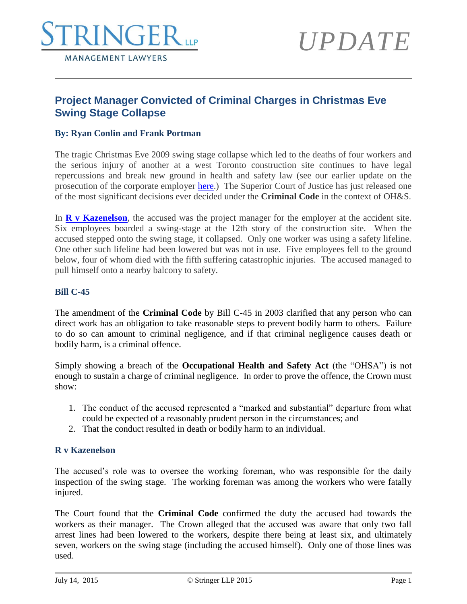

# *UPDATE*

## **Project Manager Convicted of Criminal Charges in Christmas Eve Swing Stage Collapse**

### **By: Ryan Conlin and Frank Portman**

The tragic Christmas Eve 2009 swing stage collapse which led to the deaths of four workers and the serious injury of another at a west Toronto construction site continues to have legal repercussions and break new ground in health and safety law (see our earlier update on the prosecution of the corporate employer [here.](http://www.stringerllp.com/pages/102)) The Superior Court of Justice has just released one of the most significant decisions ever decided under the **Criminal Code** in the context of OH&S.

In **R** v **Kazenelson**, the accused was the project manager for the employer at the accident site. Six employees boarded a swing-stage at the 12th story of the construction site. When the accused stepped onto the swing stage, it collapsed. Only one worker was using a safety lifeline. One other such lifeline had been lowered but was not in use. Five employees fell to the ground below, four of whom died with the fifth suffering catastrophic injuries. The accused managed to pull himself onto a nearby balcony to safety.

#### **Bill C-45**

The amendment of the **Criminal Code** by Bill C-45 in 2003 clarified that any person who can direct work has an obligation to take reasonable steps to prevent bodily harm to others. Failure to do so can amount to criminal negligence, and if that criminal negligence causes death or bodily harm, is a criminal offence.

Simply showing a breach of the **Occupational Health and Safety Act** (the "OHSA") is not enough to sustain a charge of criminal negligence. In order to prove the offence, the Crown must show:

- 1. The conduct of the accused represented a "marked and substantial" departure from what could be expected of a reasonably prudent person in the circumstances; and
- 2. That the conduct resulted in death or bodily harm to an individual.

#### **R v Kazenelson**

The accused's role was to oversee the working foreman, who was responsible for the daily inspection of the swing stage. The working foreman was among the workers who were fatally injured.

The Court found that the **Criminal Code** confirmed the duty the accused had towards the workers as their manager. The Crown alleged that the accused was aware that only two fall arrest lines had been lowered to the workers, despite there being at least six, and ultimately seven, workers on the swing stage (including the accused himself). Only one of those lines was used.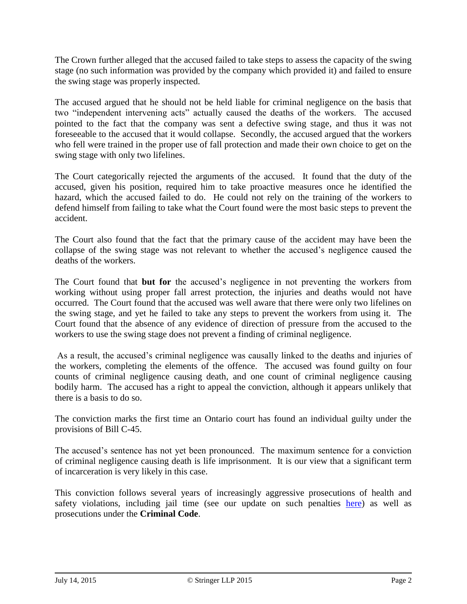The Crown further alleged that the accused failed to take steps to assess the capacity of the swing stage (no such information was provided by the company which provided it) and failed to ensure the swing stage was properly inspected.

The accused argued that he should not be held liable for criminal negligence on the basis that two "independent intervening acts" actually caused the deaths of the workers. The accused pointed to the fact that the company was sent a defective swing stage, and thus it was not foreseeable to the accused that it would collapse. Secondly, the accused argued that the workers who fell were trained in the proper use of fall protection and made their own choice to get on the swing stage with only two lifelines.

The Court categorically rejected the arguments of the accused. It found that the duty of the accused, given his position, required him to take proactive measures once he identified the hazard, which the accused failed to do. He could not rely on the training of the workers to defend himself from failing to take what the Court found were the most basic steps to prevent the accident.

The Court also found that the fact that the primary cause of the accident may have been the collapse of the swing stage was not relevant to whether the accused's negligence caused the deaths of the workers.

The Court found that **but for** the accused's negligence in not preventing the workers from working without using proper fall arrest protection, the injuries and deaths would not have occurred. The Court found that the accused was well aware that there were only two lifelines on the swing stage, and yet he failed to take any steps to prevent the workers from using it. The Court found that the absence of any evidence of direction of pressure from the accused to the workers to use the swing stage does not prevent a finding of criminal negligence.

As a result, the accused's criminal negligence was causally linked to the deaths and injuries of the workers, completing the elements of the offence. The accused was found guilty on four counts of criminal negligence causing death, and one count of criminal negligence causing bodily harm. The accused has a right to appeal the conviction, although it appears unlikely that there is a basis to do so.

The conviction marks the first time an Ontario court has found an individual guilty under the provisions of Bill C-45.

The accused's sentence has not yet been pronounced. The maximum sentence for a conviction of criminal negligence causing death is life imprisonment. It is our view that a significant term of incarceration is very likely in this case.

This conviction follows several years of increasingly aggressive prosecutions of health and safety violations, including jail time (see our update on such penalties [here\)](http://www.stringerllp.com/court-suggests-that-jail-terms-may-become-the-new-norm-for-roofing-accidents) as well as prosecutions under the **Criminal Code**.